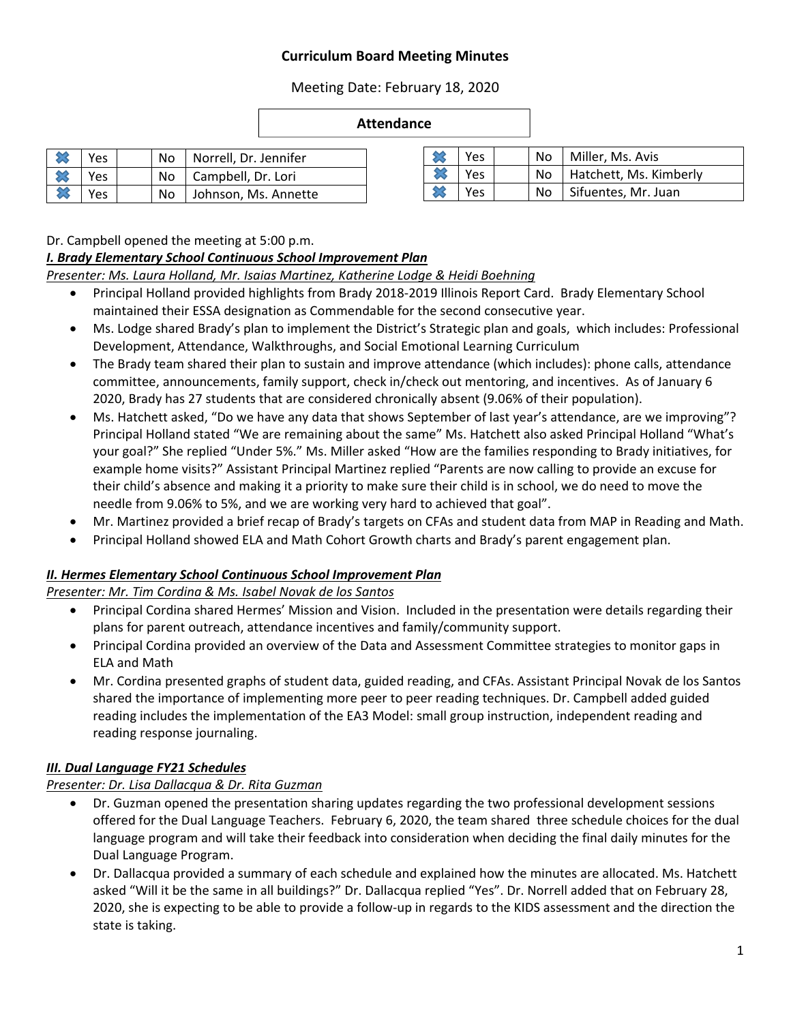# **Curriculum Board Meeting Minutes**

Meeting Date: February 18, 2020

#### **Attendance**

|   | Yes |  | No   Norrell, Dr. Jennifer |
|---|-----|--|----------------------------|
|   | Yes |  | No   Campbell, Dr. Lori    |
| ℅ | Yes |  | No Johnson, Ms. Annette    |

| Yes | No   Miller, Ms. Avis       |
|-----|-----------------------------|
| Yes | No   Hatchett, Ms. Kimberly |
| Yes | No   Sifuentes, Mr. Juan    |

Dr. Campbell opened the meeting at 5:00 p.m.

#### *I. Brady Elementary School Continuous School Improvement Plan*

*Presenter: Ms. Laura Holland, Mr. Isaias Martinez, Katherine Lodge & Heidi Boehning* 

- Principal Holland provided highlights from Brady 2018‐2019 Illinois Report Card. Brady Elementary School maintained their ESSA designation as Commendable for the second consecutive year.
- Ms. Lodge shared Brady's plan to implement the District's Strategic plan and goals, which includes: Professional Development, Attendance, Walkthroughs, and Social Emotional Learning Curriculum
- The Brady team shared their plan to sustain and improve attendance (which includes): phone calls, attendance committee, announcements, family support, check in/check out mentoring, and incentives. As of January 6 2020, Brady has 27 students that are considered chronically absent (9.06% of their population).
- Ms. Hatchett asked, "Do we have any data that shows September of last year's attendance, are we improving"? Principal Holland stated "We are remaining about the same" Ms. Hatchett also asked Principal Holland "What's your goal?" She replied "Under 5%." Ms. Miller asked "How are the families responding to Brady initiatives, for example home visits?" Assistant Principal Martinez replied "Parents are now calling to provide an excuse for their child's absence and making it a priority to make sure their child is in school, we do need to move the needle from 9.06% to 5%, and we are working very hard to achieved that goal".
- Mr. Martinez provided a brief recap of Brady's targets on CFAs and student data from MAP in Reading and Math.
- Principal Holland showed ELA and Math Cohort Growth charts and Brady's parent engagement plan.

# *II. Hermes Elementary School Continuous School Improvement Plan*

*Presenter: Mr. Tim Cordina & Ms. Isabel Novak de los Santos* 

- Principal Cordina shared Hermes' Mission and Vision. Included in the presentation were details regarding their plans for parent outreach, attendance incentives and family/community support.
- Principal Cordina provided an overview of the Data and Assessment Committee strategies to monitor gaps in ELA and Math
- Mr. Cordina presented graphs of student data, guided reading, and CFAs. Assistant Principal Novak de los Santos shared the importance of implementing more peer to peer reading techniques. Dr. Campbell added guided reading includes the implementation of the EA3 Model: small group instruction, independent reading and reading response journaling.

# *III. Dual Language FY21 Schedules*

# *Presenter: Dr. Lisa Dallacqua & Dr. Rita Guzman*

- Dr. Guzman opened the presentation sharing updates regarding the two professional development sessions offered for the Dual Language Teachers. February 6, 2020, the team shared three schedule choices for the dual language program and will take their feedback into consideration when deciding the final daily minutes for the Dual Language Program.
- Dr. Dallacqua provided a summary of each schedule and explained how the minutes are allocated. Ms. Hatchett asked "Will it be the same in all buildings?" Dr. Dallacqua replied "Yes". Dr. Norrell added that on February 28, 2020, she is expecting to be able to provide a follow‐up in regards to the KIDS assessment and the direction the state is taking.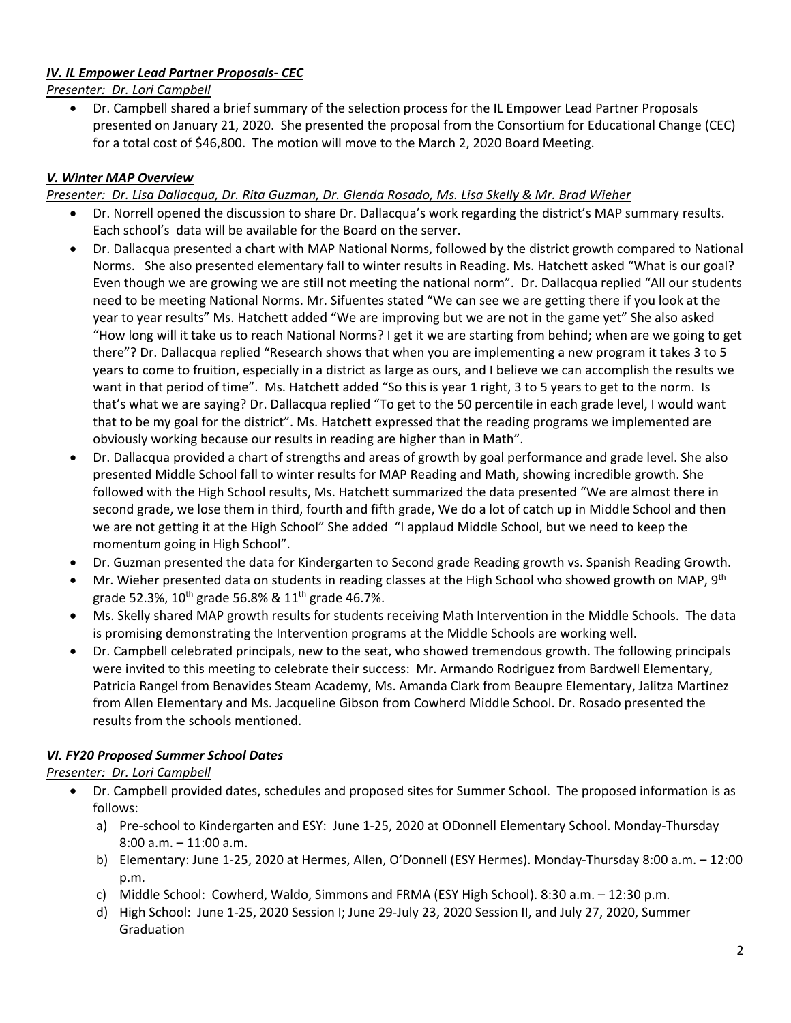# *IV. IL Empower Lead Partner Proposals‐ CEC*

*Presenter: Dr. Lori Campbell* 

 Dr. Campbell shared a brief summary of the selection process for the IL Empower Lead Partner Proposals presented on January 21, 2020. She presented the proposal from the Consortium for Educational Change (CEC) for a total cost of \$46,800. The motion will move to the March 2, 2020 Board Meeting.

#### *V. Winter MAP Overview*

*Presenter: Dr. Lisa Dallacqua, Dr. Rita Guzman, Dr. Glenda Rosado, Ms. Lisa Skelly & Mr. Brad Wieher* 

- Dr. Norrell opened the discussion to share Dr. Dallacqua's work regarding the district's MAP summary results. Each school's data will be available for the Board on the server.
- Dr. Dallacqua presented a chart with MAP National Norms, followed by the district growth compared to National Norms. She also presented elementary fall to winter results in Reading. Ms. Hatchett asked "What is our goal? Even though we are growing we are still not meeting the national norm". Dr. Dallacqua replied "All our students need to be meeting National Norms. Mr. Sifuentes stated "We can see we are getting there if you look at the year to year results" Ms. Hatchett added "We are improving but we are not in the game yet" She also asked "How long will it take us to reach National Norms? I get it we are starting from behind; when are we going to get there"? Dr. Dallacqua replied "Research shows that when you are implementing a new program it takes 3 to 5 years to come to fruition, especially in a district as large as ours, and I believe we can accomplish the results we want in that period of time". Ms. Hatchett added "So this is year 1 right, 3 to 5 years to get to the norm. Is that's what we are saying? Dr. Dallacqua replied "To get to the 50 percentile in each grade level, I would want that to be my goal for the district". Ms. Hatchett expressed that the reading programs we implemented are obviously working because our results in reading are higher than in Math".
- Dr. Dallacqua provided a chart of strengths and areas of growth by goal performance and grade level. She also presented Middle School fall to winter results for MAP Reading and Math, showing incredible growth. She followed with the High School results, Ms. Hatchett summarized the data presented "We are almost there in second grade, we lose them in third, fourth and fifth grade, We do a lot of catch up in Middle School and then we are not getting it at the High School" She added "I applaud Middle School, but we need to keep the momentum going in High School".
- Dr. Guzman presented the data for Kindergarten to Second grade Reading growth vs. Spanish Reading Growth.
- Mr. Wieher presented data on students in reading classes at the High School who showed growth on MAP, 9<sup>th</sup> grade 52.3%,  $10^{th}$  grade 56.8% &  $11^{th}$  grade 46.7%.
- Ms. Skelly shared MAP growth results for students receiving Math Intervention in the Middle Schools. The data is promising demonstrating the Intervention programs at the Middle Schools are working well.
- Dr. Campbell celebrated principals, new to the seat, who showed tremendous growth. The following principals were invited to this meeting to celebrate their success: Mr. Armando Rodriguez from Bardwell Elementary, Patricia Rangel from Benavides Steam Academy, Ms. Amanda Clark from Beaupre Elementary, Jalitza Martinez from Allen Elementary and Ms. Jacqueline Gibson from Cowherd Middle School. Dr. Rosado presented the results from the schools mentioned.

#### *VI. FY20 Proposed Summer School Dates*

*Presenter: Dr. Lori Campbell* 

- Dr. Campbell provided dates, schedules and proposed sites for Summer School. The proposed information is as follows:
	- a) Pre‐school to Kindergarten and ESY: June 1‐25, 2020 at ODonnell Elementary School. Monday‐Thursday 8:00 a.m. – 11:00 a.m.
	- b) Elementary: June 1‐25, 2020 at Hermes, Allen, O'Donnell (ESY Hermes). Monday‐Thursday 8:00 a.m. 12:00 p.m.
	- c) Middle School: Cowherd, Waldo, Simmons and FRMA (ESY High School). 8:30 a.m. 12:30 p.m.
	- d) High School: June 1‐25, 2020 Session I; June 29‐July 23, 2020 Session II, and July 27, 2020, Summer **Graduation**